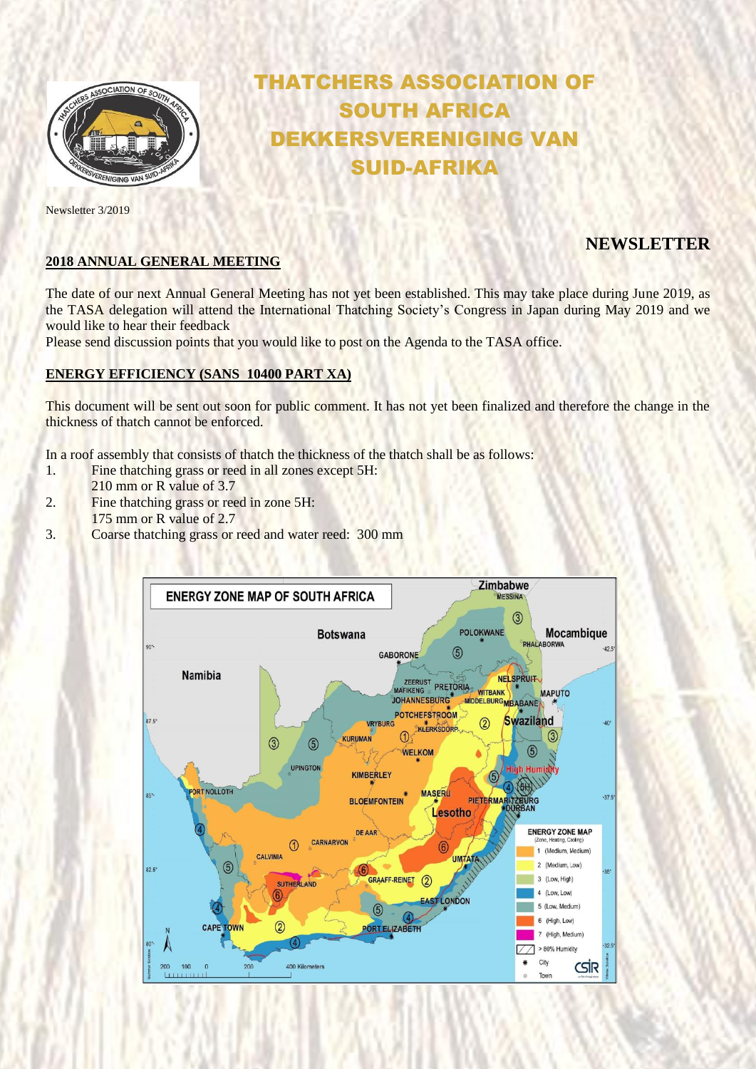

Newsletter 3/2019

# THATCHERS ASSOCIATION OF SOUTH AFRICA DEKKERSVERENIGING VAN SUID-AFRIKA

# **NEWSLETTER**

### **2018 ANNUAL GENERAL MEETING**

The date of our next Annual General Meeting has not yet been established. This may take place during June 2019, as the TASA delegation will attend the International Thatching Society's Congress in Japan during May 2019 and we would like to hear their feedback

Please send discussion points that you would like to post on the Agenda to the TASA office.

### **ENERGY EFFICIENCY (SANS 10400 PART XA)**

This document will be sent out soon for public comment. It has not yet been finalized and therefore the change in the thickness of thatch cannot be enforced.

In a roof assembly that consists of thatch the thickness of the thatch shall be as follows:

- 1. Fine thatching grass or reed in all zones except 5H:
- 210 mm or R value of 3.7
- 2. Fine thatching grass or reed in zone 5H: 175 mm or R value of 2.7
- 3. Coarse thatching grass or reed and water reed: 300 mm

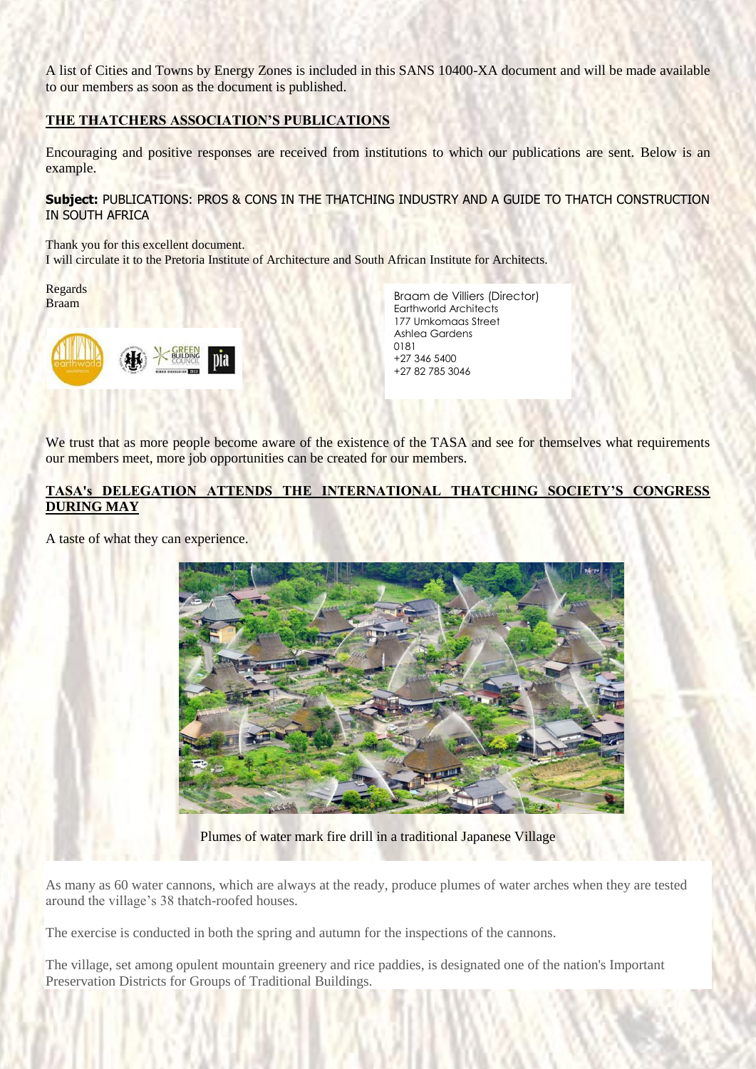A list of Cities and Towns by Energy Zones is included in this SANS 10400-XA document and will be made available to our members as soon as the document is published.

#### **THE THATCHERS ASSOCIATION'S PUBLICATIONS**

Encouraging and positive responses are received from institutions to which our publications are sent. Below is an example.

**Subject:** PUBLICATIONS: PROS & CONS IN THE THATCHING INDUSTRY AND A GUIDE TO THATCH CONSTRUCTION IN SOUTH AFRICA

Thank you for this excellent document. I will circulate it to the Pretoria Institute of Architecture and South African Institute for Architects.

Regards Braam



Braam de Villiers (Director) Earthworld Architects 177 Umkomaas Street Ashlea Gardens 0181 +27 346 5400 +27 82 785 3046

We trust that as more people become aware of the existence of the TASA and see for themselves what requirements our members meet, more job opportunities can be created for our members.

#### **TASA's DELEGATION ATTENDS THE INTERNATIONAL THATCHING SOCIETY'S CONGRESS DURING MAY**

A taste of what they can experience.



Plumes of water mark fire drill in a traditional Japanese Village

As many as 60 water cannons, which are always at the ready, produce plumes of water arches when they are tested around the village's 38 thatch-roofed houses.

The exercise is conducted in both the spring and autumn for the inspections of the cannons.

The village, set among opulent mountain greenery and rice paddies, is designated one of the nation's Important Preservation Districts for Groups of Traditional Buildings.